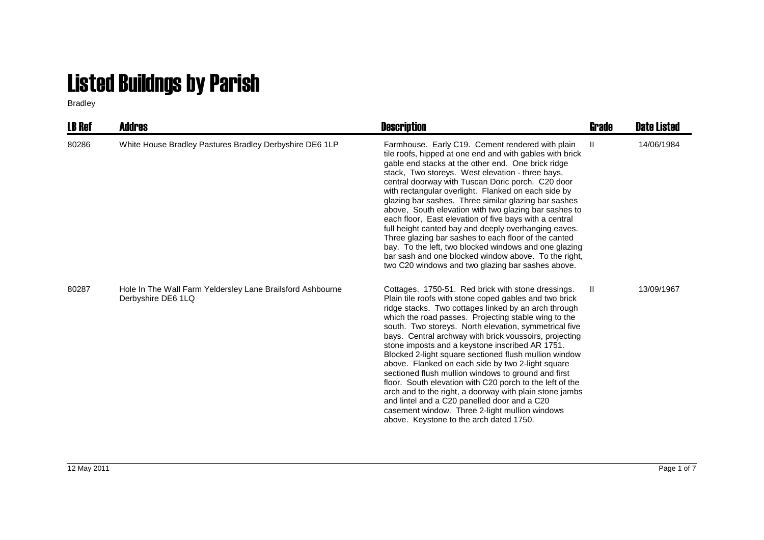## Listed Buildngs by Parish

Bradley

| <b>LB Ref</b> | Addres                                                                           | <b>Description</b>                                                                                                                                                                                                                                                                                                                                                                                                                                                                                                                                                                                                                                                                                                                                                                                                                          | Grade | <b>Date Listed</b> |
|---------------|----------------------------------------------------------------------------------|---------------------------------------------------------------------------------------------------------------------------------------------------------------------------------------------------------------------------------------------------------------------------------------------------------------------------------------------------------------------------------------------------------------------------------------------------------------------------------------------------------------------------------------------------------------------------------------------------------------------------------------------------------------------------------------------------------------------------------------------------------------------------------------------------------------------------------------------|-------|--------------------|
| 80286         | White House Bradley Pastures Bradley Derbyshire DE6 1LP                          | Farmhouse. Early C19. Cement rendered with plain<br>tile roofs, hipped at one end and with gables with brick<br>gable end stacks at the other end. One brick ridge<br>stack, Two storeys. West elevation - three bays,<br>central doorway with Tuscan Doric porch. C20 door<br>with rectangular overlight. Flanked on each side by<br>glazing bar sashes. Three similar glazing bar sashes<br>above, South elevation with two glazing bar sashes to<br>each floor, East elevation of five bays with a central<br>full height canted bay and deeply overhanging eaves.<br>Three glazing bar sashes to each floor of the canted<br>bay. To the left, two blocked windows and one glazing<br>bar sash and one blocked window above. To the right,<br>two C20 windows and two glazing bar sashes above.                                         | Ш     | 14/06/1984         |
| 80287         | Hole In The Wall Farm Yeldersley Lane Brailsford Ashbourne<br>Derbyshire DE6 1LQ | Cottages. 1750-51. Red brick with stone dressings.<br>Plain tile roofs with stone coped gables and two brick<br>ridge stacks. Two cottages linked by an arch through<br>which the road passes. Projecting stable wing to the<br>south. Two storeys. North elevation, symmetrical five<br>bays. Central archway with brick voussoirs, projecting<br>stone imposts and a keystone inscribed AR 1751.<br>Blocked 2-light square sectioned flush mullion window<br>above. Flanked on each side by two 2-light square<br>sectioned flush mullion windows to ground and first<br>floor. South elevation with C20 porch to the left of the<br>arch and to the right, a doorway with plain stone jambs<br>and lintel and a C20 panelled door and a C20<br>casement window. Three 2-light mullion windows<br>above. Keystone to the arch dated 1750. | H.    | 13/09/1967         |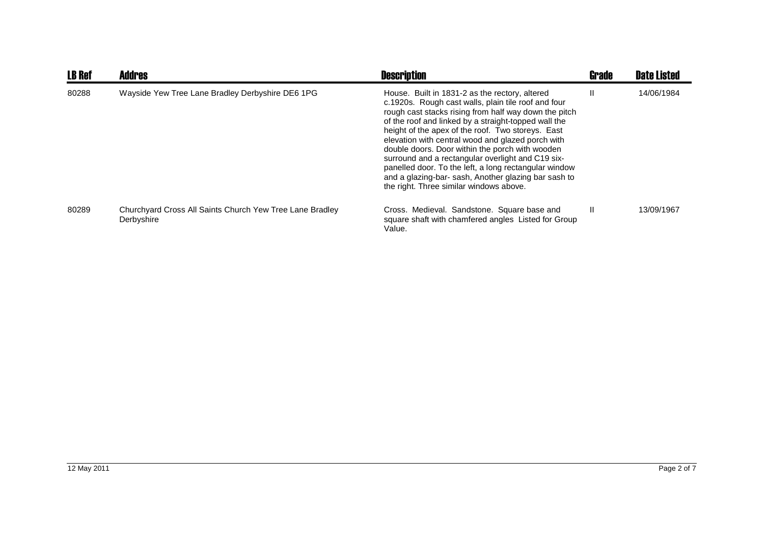| <b>LB Ref</b> | <b>Addres</b>                                                          | <b>Description</b>                                                                                                                                                                                                                                                                                                                                                                                                                                                                                                                                                                                  | <b>Grade</b> | <b>Date Listed</b> |
|---------------|------------------------------------------------------------------------|-----------------------------------------------------------------------------------------------------------------------------------------------------------------------------------------------------------------------------------------------------------------------------------------------------------------------------------------------------------------------------------------------------------------------------------------------------------------------------------------------------------------------------------------------------------------------------------------------------|--------------|--------------------|
| 80288         | Wayside Yew Tree Lane Bradley Derbyshire DE6 1PG                       | House. Built in 1831-2 as the rectory, altered<br>c.1920s. Rough cast walls, plain tile roof and four<br>rough cast stacks rising from half way down the pitch<br>of the roof and linked by a straight-topped wall the<br>height of the apex of the roof. Two storeys. East<br>elevation with central wood and glazed porch with<br>double doors. Door within the porch with wooden<br>surround and a rectangular overlight and C19 six-<br>panelled door. To the left, a long rectangular window<br>and a glazing-bar-sash, Another glazing bar sash to<br>the right. Three similar windows above. | $\mathbf{I}$ | 14/06/1984         |
| 80289         | Churchyard Cross All Saints Church Yew Tree Lane Bradley<br>Derbyshire | Cross. Medieval. Sandstone. Square base and<br>square shaft with chamfered angles Listed for Group<br>Value.                                                                                                                                                                                                                                                                                                                                                                                                                                                                                        | $\mathbf{H}$ | 13/09/1967         |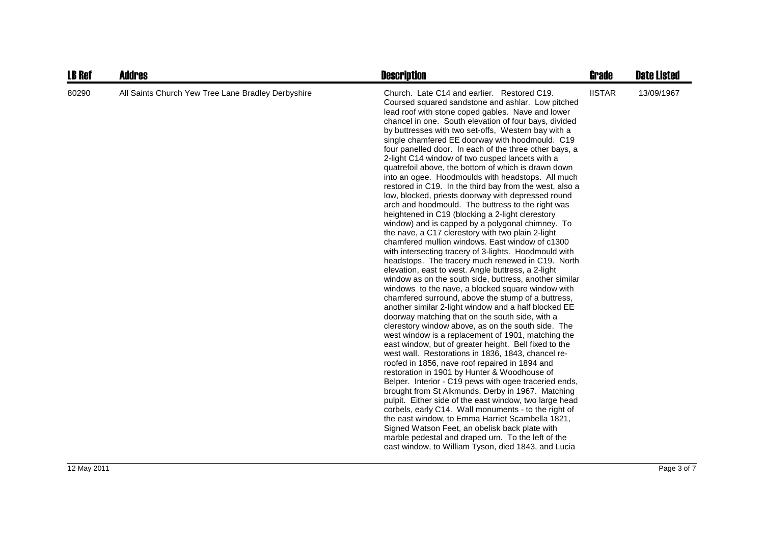| <b>LB Ref</b> | <b>Addres</b>                                      | <b>Description</b>                                                                                                                                                                                                                                                                                                                                                                                                                                                                                                                                                                                                                                                                                                                                                                                                                                                                                                                                                                                                                                                                                                                                                                                                                                                                                                                                                                                                                                                                                                                                                                                                                                                                                                                                                                                                                                                                                                                                                                                                                                                                                                                                                          | Grade         | <b>Date Listed</b> |
|---------------|----------------------------------------------------|-----------------------------------------------------------------------------------------------------------------------------------------------------------------------------------------------------------------------------------------------------------------------------------------------------------------------------------------------------------------------------------------------------------------------------------------------------------------------------------------------------------------------------------------------------------------------------------------------------------------------------------------------------------------------------------------------------------------------------------------------------------------------------------------------------------------------------------------------------------------------------------------------------------------------------------------------------------------------------------------------------------------------------------------------------------------------------------------------------------------------------------------------------------------------------------------------------------------------------------------------------------------------------------------------------------------------------------------------------------------------------------------------------------------------------------------------------------------------------------------------------------------------------------------------------------------------------------------------------------------------------------------------------------------------------------------------------------------------------------------------------------------------------------------------------------------------------------------------------------------------------------------------------------------------------------------------------------------------------------------------------------------------------------------------------------------------------------------------------------------------------------------------------------------------------|---------------|--------------------|
| 80290         | All Saints Church Yew Tree Lane Bradley Derbyshire | Church. Late C14 and earlier. Restored C19.<br>Coursed squared sandstone and ashlar. Low pitched<br>lead roof with stone coped gables. Nave and lower<br>chancel in one. South elevation of four bays, divided<br>by buttresses with two set-offs, Western bay with a<br>single chamfered EE doorway with hoodmould. C19<br>four panelled door. In each of the three other bays, a<br>2-light C14 window of two cusped lancets with a<br>quatrefoil above, the bottom of which is drawn down<br>into an ogee. Hoodmoulds with headstops. All much<br>restored in C19. In the third bay from the west, also a<br>low, blocked, priests doorway with depressed round<br>arch and hoodmould. The buttress to the right was<br>heightened in C19 (blocking a 2-light clerestory<br>window) and is capped by a polygonal chimney. To<br>the nave, a C17 clerestory with two plain 2-light<br>chamfered mullion windows. East window of c1300<br>with intersecting tracery of 3-lights. Hoodmould with<br>headstops. The tracery much renewed in C19. North<br>elevation, east to west. Angle buttress, a 2-light<br>window as on the south side, buttress, another similar<br>windows to the nave, a blocked square window with<br>chamfered surround, above the stump of a buttress,<br>another similar 2-light window and a half blocked EE<br>doorway matching that on the south side, with a<br>clerestory window above, as on the south side. The<br>west window is a replacement of 1901, matching the<br>east window, but of greater height. Bell fixed to the<br>west wall. Restorations in 1836, 1843, chancel re-<br>roofed in 1856, nave roof repaired in 1894 and<br>restoration in 1901 by Hunter & Woodhouse of<br>Belper. Interior - C19 pews with ogee traceried ends,<br>brought from St Alkmunds, Derby in 1967. Matching<br>pulpit. Either side of the east window, two large head<br>corbels, early C14. Wall monuments - to the right of<br>the east window, to Emma Harriet Scambella 1821,<br>Signed Watson Feet, an obelisk back plate with<br>marble pedestal and draped urn. To the left of the<br>east window, to William Tyson, died 1843, and Lucia | <b>IISTAR</b> | 13/09/1967         |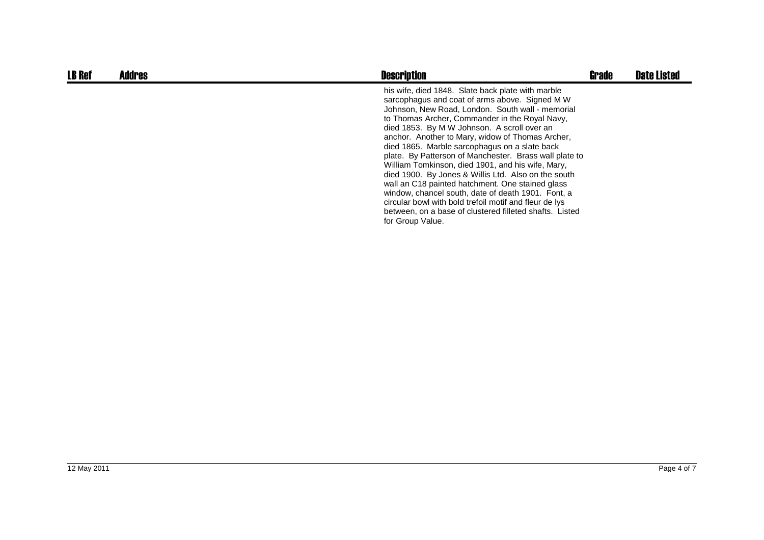| <b>LB Ref</b> | <b>Addres</b> | <b>Description</b>                                                                                                                                                                                                                                                                                                                                                                                                                                                                                                                                                                                                                                                                                                                                                                     | <b>Grade</b> | <b>Date Listed</b> |
|---------------|---------------|----------------------------------------------------------------------------------------------------------------------------------------------------------------------------------------------------------------------------------------------------------------------------------------------------------------------------------------------------------------------------------------------------------------------------------------------------------------------------------------------------------------------------------------------------------------------------------------------------------------------------------------------------------------------------------------------------------------------------------------------------------------------------------------|--------------|--------------------|
|               |               | his wife, died 1848. Slate back plate with marble<br>sarcophagus and coat of arms above. Signed M W<br>Johnson, New Road, London. South wall - memorial<br>to Thomas Archer, Commander in the Royal Navy,<br>died 1853. By M W Johnson. A scroll over an<br>anchor. Another to Mary, widow of Thomas Archer,<br>died 1865. Marble sarcophagus on a slate back<br>plate. By Patterson of Manchester. Brass wall plate to<br>William Tomkinson, died 1901, and his wife, Mary,<br>died 1900. By Jones & Willis Ltd. Also on the south<br>wall an C18 painted hatchment. One stained glass<br>window, chancel south, date of death 1901. Font, a<br>circular bowl with bold trefoil motif and fleur de lys<br>between, on a base of clustered filleted shafts. Listed<br>for Group Value. |              |                    |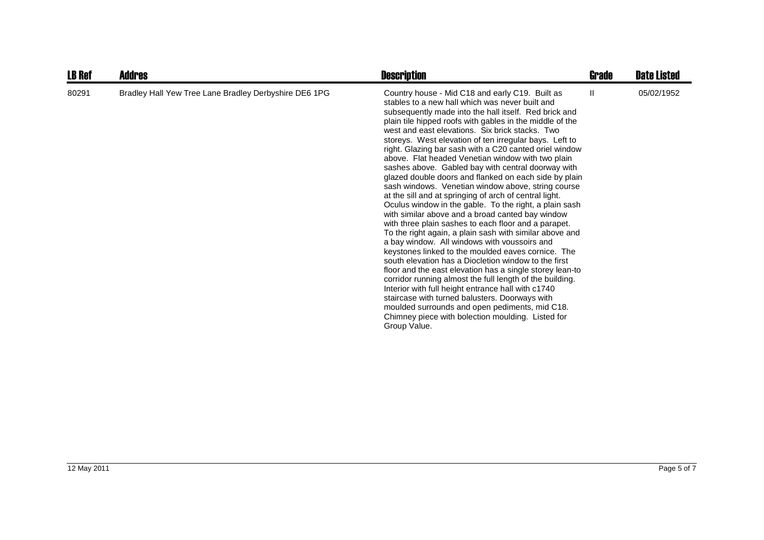| <b>LB Ref</b> | <b>Addres</b>                                         | <b>Description</b>                                                                                                                                                                                                                                                                                                                                                                                                                                                                                                                                                                                                                                                                                                                                                                                                                                                                                                                                                                                                                                                                                                                                                                                                                                                                                                                                                                                                                       | Grade | <b>Date Listed</b> |
|---------------|-------------------------------------------------------|------------------------------------------------------------------------------------------------------------------------------------------------------------------------------------------------------------------------------------------------------------------------------------------------------------------------------------------------------------------------------------------------------------------------------------------------------------------------------------------------------------------------------------------------------------------------------------------------------------------------------------------------------------------------------------------------------------------------------------------------------------------------------------------------------------------------------------------------------------------------------------------------------------------------------------------------------------------------------------------------------------------------------------------------------------------------------------------------------------------------------------------------------------------------------------------------------------------------------------------------------------------------------------------------------------------------------------------------------------------------------------------------------------------------------------------|-------|--------------------|
| 80291         | Bradley Hall Yew Tree Lane Bradley Derbyshire DE6 1PG | Country house - Mid C18 and early C19. Built as<br>stables to a new hall which was never built and<br>subsequently made into the hall itself. Red brick and<br>plain tile hipped roofs with gables in the middle of the<br>west and east elevations. Six brick stacks. Two<br>storeys. West elevation of ten irregular bays. Left to<br>right. Glazing bar sash with a C20 canted oriel window<br>above. Flat headed Venetian window with two plain<br>sashes above. Gabled bay with central doorway with<br>glazed double doors and flanked on each side by plain<br>sash windows. Venetian window above, string course<br>at the sill and at springing of arch of central light.<br>Oculus window in the gable. To the right, a plain sash<br>with similar above and a broad canted bay window<br>with three plain sashes to each floor and a parapet.<br>To the right again, a plain sash with similar above and<br>a bay window. All windows with voussoirs and<br>keystones linked to the moulded eaves cornice. The<br>south elevation has a Diocletion window to the first<br>floor and the east elevation has a single storey lean-to<br>corridor running almost the full length of the building.<br>Interior with full height entrance hall with c1740<br>staircase with turned balusters. Doorways with<br>moulded surrounds and open pediments, mid C18.<br>Chimney piece with bolection moulding. Listed for<br>Group Value. | Ш     | 05/02/1952         |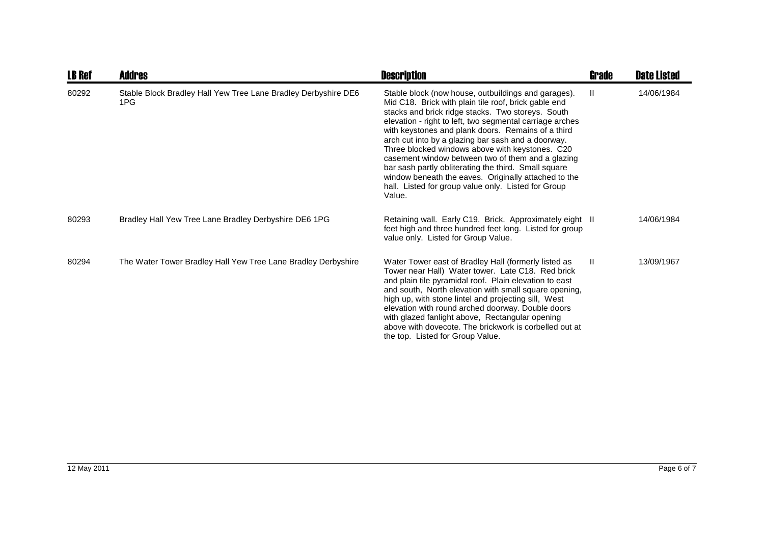| <b>LB Ref</b> | <b>Addres</b>                                                         | <b>Description</b>                                                                                                                                                                                                                                                                                                                                                                                                                                                                                                                                                                                                                | Grade        | <b>Date Listed</b> |
|---------------|-----------------------------------------------------------------------|-----------------------------------------------------------------------------------------------------------------------------------------------------------------------------------------------------------------------------------------------------------------------------------------------------------------------------------------------------------------------------------------------------------------------------------------------------------------------------------------------------------------------------------------------------------------------------------------------------------------------------------|--------------|--------------------|
| 80292         | Stable Block Bradley Hall Yew Tree Lane Bradley Derbyshire DE6<br>1PG | Stable block (now house, outbuildings and garages).<br>Mid C18. Brick with plain tile roof, brick gable end<br>stacks and brick ridge stacks. Two storeys. South<br>elevation - right to left, two segmental carriage arches<br>with keystones and plank doors. Remains of a third<br>arch cut into by a glazing bar sash and a doorway.<br>Three blocked windows above with keystones. C20<br>casement window between two of them and a glazing<br>bar sash partly obliterating the third. Small square<br>window beneath the eaves. Originally attached to the<br>hall. Listed for group value only. Listed for Group<br>Value. | $\mathbf{H}$ | 14/06/1984         |
| 80293         | Bradley Hall Yew Tree Lane Bradley Derbyshire DE6 1PG                 | Retaining wall. Early C19. Brick. Approximately eight II<br>feet high and three hundred feet long. Listed for group<br>value only. Listed for Group Value.                                                                                                                                                                                                                                                                                                                                                                                                                                                                        |              | 14/06/1984         |
| 80294         | The Water Tower Bradley Hall Yew Tree Lane Bradley Derbyshire         | Water Tower east of Bradley Hall (formerly listed as<br>Tower near Hall) Water tower. Late C18. Red brick<br>and plain tile pyramidal roof. Plain elevation to east<br>and south, North elevation with small square opening,<br>high up, with stone lintel and projecting sill, West<br>elevation with round arched doorway. Double doors<br>with glazed fanlight above, Rectangular opening<br>above with dovecote. The brickwork is corbelled out at<br>the top. Listed for Group Value.                                                                                                                                        | $\mathbf{H}$ | 13/09/1967         |